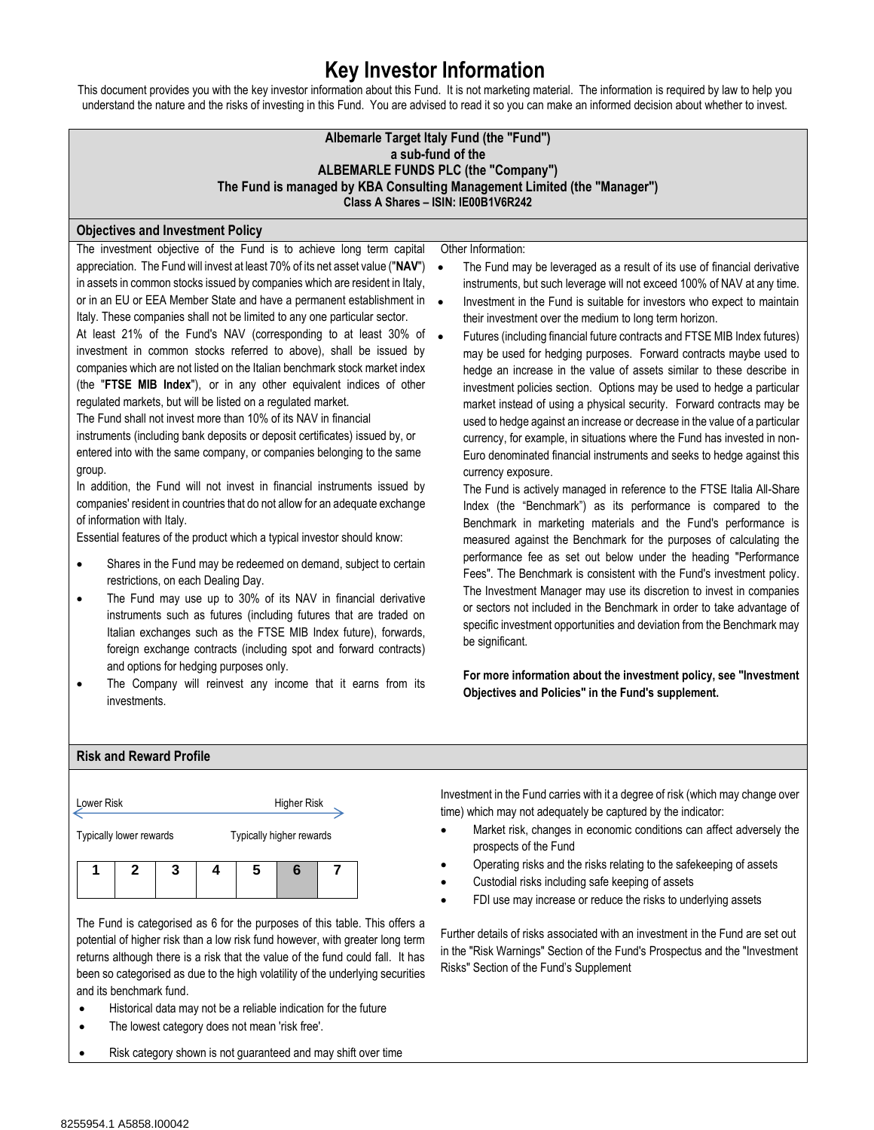## **Key Investor Information**

This document provides you with the key investor information about this Fund. It is not marketing material. The information is required by law to help you understand the nature and the risks of investing in this Fund. You are advised to read it so you can make an informed decision about whether to invest.

| Albemarle Target Italy Fund (the "Fund")<br>a sub-fund of the<br><b>ALBEMARLE FUNDS PLC (the "Company")</b><br>The Fund is managed by KBA Consulting Management Limited (the "Manager")<br>Class A Shares - ISIN: IE00B1V6R242                                                                                                                                                                                                                                                                                                                                                                                                                                                                                                                                                                                                                                                                                                                                                                                                                                                                                                                                                                                                                                                                                                                                                                                                                                                                                                                                                                                                                                                                                                                                                                                                         |                                                                                                                                                                                                                                                                                                                                                                                                                                                                                                                                                                                                                                                                                                                                                                                                                                                                                                                                                                                                                                                                                                                                                                                                                                                                                                                                                                                                                                                                                                                                                                                                                                                                                                                                                                 |  |  |  |  |
|----------------------------------------------------------------------------------------------------------------------------------------------------------------------------------------------------------------------------------------------------------------------------------------------------------------------------------------------------------------------------------------------------------------------------------------------------------------------------------------------------------------------------------------------------------------------------------------------------------------------------------------------------------------------------------------------------------------------------------------------------------------------------------------------------------------------------------------------------------------------------------------------------------------------------------------------------------------------------------------------------------------------------------------------------------------------------------------------------------------------------------------------------------------------------------------------------------------------------------------------------------------------------------------------------------------------------------------------------------------------------------------------------------------------------------------------------------------------------------------------------------------------------------------------------------------------------------------------------------------------------------------------------------------------------------------------------------------------------------------------------------------------------------------------------------------------------------------|-----------------------------------------------------------------------------------------------------------------------------------------------------------------------------------------------------------------------------------------------------------------------------------------------------------------------------------------------------------------------------------------------------------------------------------------------------------------------------------------------------------------------------------------------------------------------------------------------------------------------------------------------------------------------------------------------------------------------------------------------------------------------------------------------------------------------------------------------------------------------------------------------------------------------------------------------------------------------------------------------------------------------------------------------------------------------------------------------------------------------------------------------------------------------------------------------------------------------------------------------------------------------------------------------------------------------------------------------------------------------------------------------------------------------------------------------------------------------------------------------------------------------------------------------------------------------------------------------------------------------------------------------------------------------------------------------------------------------------------------------------------------|--|--|--|--|
| <b>Objectives and Investment Policy</b>                                                                                                                                                                                                                                                                                                                                                                                                                                                                                                                                                                                                                                                                                                                                                                                                                                                                                                                                                                                                                                                                                                                                                                                                                                                                                                                                                                                                                                                                                                                                                                                                                                                                                                                                                                                                |                                                                                                                                                                                                                                                                                                                                                                                                                                                                                                                                                                                                                                                                                                                                                                                                                                                                                                                                                                                                                                                                                                                                                                                                                                                                                                                                                                                                                                                                                                                                                                                                                                                                                                                                                                 |  |  |  |  |
| The investment objective of the Fund is to achieve long term capital<br>appreciation. The Fund will invest at least 70% of its net asset value ("NAV")<br>$\bullet$<br>in assets in common stocks issued by companies which are resident in Italy,<br>or in an EU or EEA Member State and have a permanent establishment in<br>$\bullet$<br>Italy. These companies shall not be limited to any one particular sector.<br>At least 21% of the Fund's NAV (corresponding to at least 30% of<br>$\bullet$<br>investment in common stocks referred to above), shall be issued by<br>companies which are not listed on the Italian benchmark stock market index<br>(the "FTSE MIB Index"), or in any other equivalent indices of other<br>regulated markets, but will be listed on a regulated market.<br>The Fund shall not invest more than 10% of its NAV in financial<br>instruments (including bank deposits or deposit certificates) issued by, or<br>entered into with the same company, or companies belonging to the same<br>group.<br>In addition, the Fund will not invest in financial instruments issued by<br>companies' resident in countries that do not allow for an adequate exchange<br>of information with Italy.<br>Essential features of the product which a typical investor should know:<br>Shares in the Fund may be redeemed on demand, subject to certain<br>$\bullet$<br>restrictions, on each Dealing Day.<br>The Fund may use up to 30% of its NAV in financial derivative<br>$\bullet$<br>instruments such as futures (including futures that are traded on<br>Italian exchanges such as the FTSE MIB Index future), forwards,<br>foreign exchange contracts (including spot and forward contracts)<br>and options for hedging purposes only.<br>The Company will reinvest any income that it earns from its | Other Information:<br>The Fund may be leveraged as a result of its use of financial derivative<br>instruments, but such leverage will not exceed 100% of NAV at any time.<br>Investment in the Fund is suitable for investors who expect to maintain<br>their investment over the medium to long term horizon.<br>Futures (including financial future contracts and FTSE MIB Index futures)<br>may be used for hedging purposes. Forward contracts maybe used to<br>hedge an increase in the value of assets similar to these describe in<br>investment policies section. Options may be used to hedge a particular<br>market instead of using a physical security. Forward contracts may be<br>used to hedge against an increase or decrease in the value of a particular<br>currency, for example, in situations where the Fund has invested in non-<br>Euro denominated financial instruments and seeks to hedge against this<br>currency exposure.<br>The Fund is actively managed in reference to the FTSE Italia All-Share<br>Index (the "Benchmark") as its performance is compared to the<br>Benchmark in marketing materials and the Fund's performance is<br>measured against the Benchmark for the purposes of calculating the<br>performance fee as set out below under the heading "Performance<br>Fees". The Benchmark is consistent with the Fund's investment policy.<br>The Investment Manager may use its discretion to invest in companies<br>or sectors not included in the Benchmark in order to take advantage of<br>specific investment opportunities and deviation from the Benchmark may<br>be significant.<br>For more information about the investment policy, see "Investment<br>Objectives and Policies" in the Fund's supplement. |  |  |  |  |

## **Risk and Reward Profile**



The Fund is categorised as 6 for the purposes of this table. This offers a potential of higher risk than a low risk fund however, with greater long term returns although there is a risk that the value of the fund could fall. It has been so categorised as due to the high volatility of the underlying securities and its benchmark fund.

- Historical data may not be a reliable indication for the future
- The lowest category does not mean 'risk free'.
- Risk category shown is not guaranteed and may shift over time

Investment in the Fund carries with it a degree of risk (which may change over time) which may not adequately be captured by the indicator:

- Market risk, changes in economic conditions can affect adversely the prospects of the Fund
- Operating risks and the risks relating to the safekeeping of assets
- Custodial risks including safe keeping of assets
- FDI use may increase or reduce the risks to underlying assets

Further details of risks associated with an investment in the Fund are set out in the "Risk Warnings" Section of the Fund's Prospectus and the "Investment Risks" Section of the Fund's Supplement